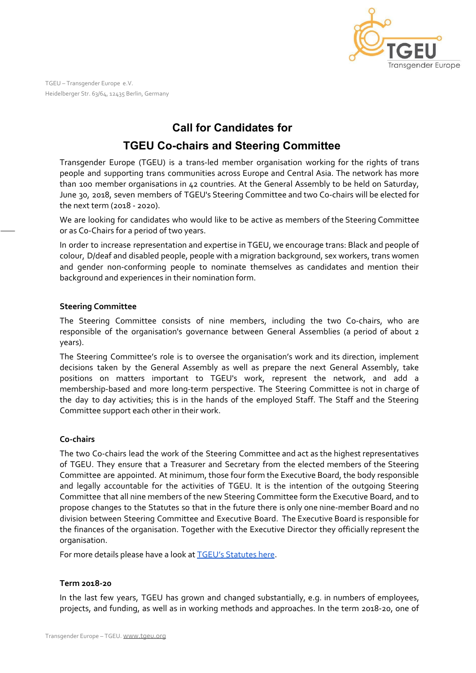

TGEU – Transgender Europe e.V. Heidelberger Str. 63/64, 12435 Berlin, Germany

# **Call for Candidates for**

# **TGEU Co-chairs and Steering Committee**

Transgender Europe (TGEU) is a trans-led member organisation working for the rights of trans people and supporting trans communities across Europe and Central Asia. The network has more than 100 member organisations in 42 countries. At the General Assembly to be held on Saturday, June 30, 2018, seven members of TGEU's Steering Committee and two Co-chairs will be elected for the next term (2018 - 2020).

We are looking for candidates who would like to be active as members of the Steering Committee or as Co-Chairs for a period of two years.

In order to increase representation and expertise in TGEU, we encourage trans: Black and people of colour, D/deaf and disabled people, people with a migration background, sex workers, trans women and gender non-conforming people to nominate themselves as candidates and mention their background and experiences in their nomination form.

### **Steering Committee**

The Steering Committee consists of nine members, including the two Co-chairs, who are responsible of the organisation's governance between General Assemblies (a period of about 2 years).

The Steering Committee's role is to oversee the organisation's work and its direction, implement decisions taken by the General Assembly as well as prepare the next General Assembly, take positions on matters important to TGEU's work, represent the network, and add a membership-based and more long-term perspective. The Steering Committee is not in charge of the day to day activities; this is in the hands of the employed Staff. The Staff and the Steering Committee support each other in their work.

### **Co-chairs**

The two Co-chairs lead the work of the Steering Committee and act as the highest representatives of TGEU. They ensure that a Treasurer and Secretary from the elected members of the Steering Committee are appointed. At minimum, those four form the Executive Board, the body responsible and legally accountable for the activities of TGEU. It is the intention of the outgoing Steering Committee that all nine members of the new Steering Committee form the Executive Board, and to propose changes to the Statutes so that in the future there is only one nine-member Board and no division between Steering Committee and Executive Board. The Executive Board is responsible for the finances of the organisation. Together with the Executive Director they officially represent the organisation.

For more details please have a look at **TGEU's [Statutes](https://tgeu.org/wp-content/uploads/2015/02/Statutes_final_english_revised_October2013.pdf) here**.

### **Term 2018-20**

In the last few years, TGEU has grown and changed substantially, e.g. in numbers of employees, projects, and funding, as well as in working methods and approaches. In the term 2018-20, one of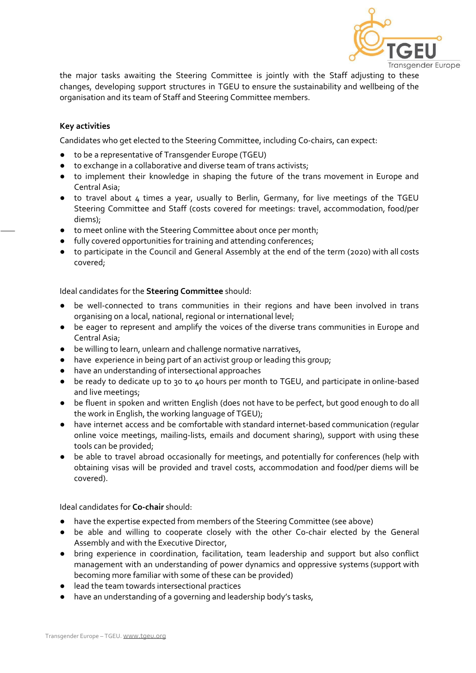

the major tasks awaiting the Steering Committee is jointly with the Staff adjusting to these changes, developing support structures in TGEU to ensure the sustainability and wellbeing of the organisation and its team of Staff and Steering Committee members.

#### **Key activities**

Candidates who get elected to the Steering Committee, including Co-chairs, can expect:

- to be a representative of Transgender Europe (TGEU)
- to exchange in a collaborative and diverse team of trans activists;
- to implement their knowledge in shaping the future of the trans movement in Europe and Central Asia;
- to travel about 4 times a year, usually to Berlin, Germany, for live meetings of the TGEU Steering Committee and Staff (costs covered for meetings: travel, accommodation, food/per diems);
- to meet online with the Steering Committee about once per month;
- fully covered opportunities for training and attending conferences;
- to participate in the Council and General Assembly at the end of the term (2020) with all costs covered;

Ideal candidates for the **Steering Committee** should:

- be well-connected to trans communities in their regions and have been involved in trans organising on a local, national, regional or international level;
- be eager to represent and amplify the voices of the diverse trans communities in Europe and Central Asia;
- be willing to learn, unlearn and challenge normative narratives,
- have experience in being part of an activist group or leading this group;
- have an understanding of intersectional approaches
- be ready to dedicate up to 30 to 40 hours per month to TGEU, and participate in online-based and live meetings;
- be fluent in spoken and written English (does not have to be perfect, but good enough to do all the work in English, the working language of TGEU);
- have internet access and be comfortable with standard internet-based communication (regular online voice meetings, mailing-lists, emails and document sharing), support with using these tools can be provided;
- be able to travel abroad occasionally for meetings, and potentially for conferences (help with obtaining visas will be provided and travel costs, accommodation and food/per diems will be covered).

Ideal candidates for **Co-chair** should:

- have the expertise expected from members of the Steering Committee (see above)
- be able and willing to cooperate closely with the other Co-chair elected by the General Assembly and with the Executive Director,
- bring experience in coordination, facilitation, team leadership and support but also conflict management with an understanding of power dynamics and oppressive systems (support with becoming more familiar with some of these can be provided)
- lead the team towards intersectional practices
- have an understanding of a governing and leadership body's tasks,